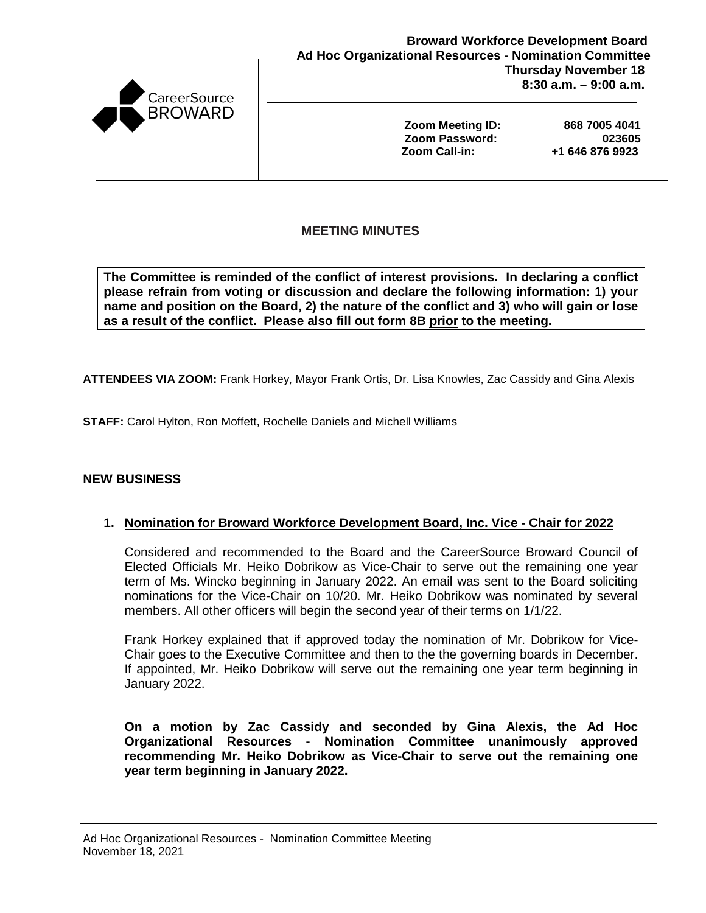

**Zoom Meeting ID: 868 7005 4041 Zoom Password: 023605 Zoom Call-in:** 

### **MEETING MINUTES**

**The Committee is reminded of the conflict of interest provisions. In declaring a conflict please refrain from voting or discussion and declare the following information: 1) your name and position on the Board, 2) the nature of the conflict and 3) who will gain or lose as a result of the conflict. Please also fill out form 8B prior to the meeting.**

**ATTENDEES VIA ZOOM:** Frank Horkey, Mayor Frank Ortis, Dr. Lisa Knowles, Zac Cassidy and Gina Alexis

**STAFF:** Carol Hylton, Ron Moffett, Rochelle Daniels and Michell Williams

#### **NEW BUSINESS**

#### **1. Nomination for Broward Workforce Development Board, Inc. Vice - Chair for 2022**

Considered and recommended to the Board and the CareerSource Broward Council of Elected Officials Mr. Heiko Dobrikow as Vice-Chair to serve out the remaining one year term of Ms. Wincko beginning in January 2022. An email was sent to the Board soliciting nominations for the Vice-Chair on 10/20. Mr. Heiko Dobrikow was nominated by several members. All other officers will begin the second year of their terms on 1/1/22.

Frank Horkey explained that if approved today the nomination of Mr. Dobrikow for Vice-Chair goes to the Executive Committee and then to the the governing boards in December. If appointed, Mr. Heiko Dobrikow will serve out the remaining one year term beginning in January 2022.

**On a motion by Zac Cassidy and seconded by Gina Alexis, the Ad Hoc Organizational Resources - Nomination Committee unanimously approved recommending Mr. Heiko Dobrikow as Vice-Chair to serve out the remaining one year term beginning in January 2022.**